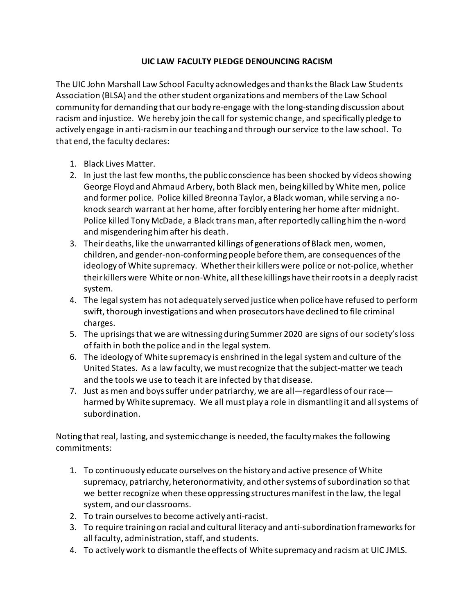## **UIC LAW FACULTY PLEDGE DENOUNCING RACISM**

The UIC John Marshall Law School Faculty acknowledges and thanks the Black Law Students Association (BLSA) and the other student organizations and members of the Law School community for demanding that our body re-engage with the long-standing discussion about racism and injustice. We hereby join the call for systemic change, and specifically pledge to actively engage in anti-racism in our teaching and through our service to the law school. To that end, the faculty declares:

- 1. Black Lives Matter.
- 2. In just the last few months, the public conscience has been shocked by videos showing George Floyd and Ahmaud Arbery, both Black men, being killed by White men, police and former police. Police killed Breonna Taylor, a Black woman, while serving a noknock search warrant at her home, after forcibly entering her home after midnight. Police killed Tony McDade, a Black trans man, after reportedly calling him the n-word and misgendering him after his death.
- 3. Their deaths, like the unwarranted killings of generations of Black men, women, children, and gender-non-conforming people before them, are consequences of the ideology of White supremacy. Whether their killers were police or not-police, whether their killers were White or non-White, all these killings have their roots in a deeply racist system.
- 4. The legal system has not adequately served justice when police have refused to perform swift, thorough investigations and when prosecutors have declined to file criminal charges.
- 5. The uprisings that we are witnessing during Summer 2020 are signs of our society's loss of faith in both the police and in the legal system.
- 6. The ideology of White supremacy is enshrined in the legal system and culture of the United States. As a law faculty, we must recognize that the subject-matter we teach and the tools we use to teach it are infected by that disease.
- 7. Just as men and boys suffer under patriarchy, we are all—regardless of our race harmed by White supremacy. We all must play a role in dismantling it and all systems of subordination.

Noting that real, lasting, and systemic change is needed, the faculty makes the following commitments:

- 1. To continuously educate ourselves on the history and active presence of White supremacy, patriarchy, heteronormativity, and other systems of subordination so that we better recognize when these oppressing structures manifest in the law, the legal system, and our classrooms.
- 2. To train ourselves to become actively anti-racist.
- 3. To require training on racial and cultural literacy and anti-subordination frameworks for all faculty, administration, staff, and students.
- 4. To actively work to dismantle the effects of White supremacy and racism at UIC JMLS.